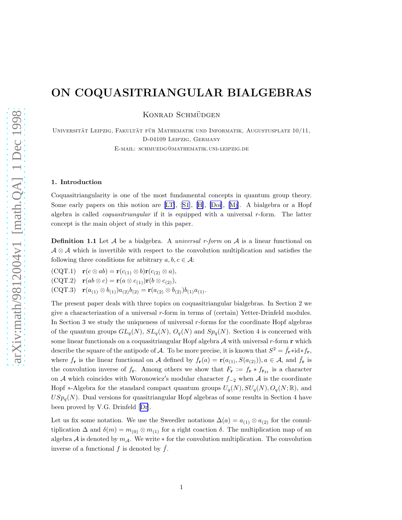# ON COQUASITRIANGULAR BIALGEBRAS

KONRAD SCHMÜDGEN

UNIVERSITÄT LEIPZIG, FAKULTÄT FÜR MATHEMATIK UND INFORMATIK, AUGUSTUSPLATZ 10/11, D-04109 Leipzig, Germany

E-mail: schmuedg@mathematik.uni-leipzig.de

#### 1. Introduction

Coquasitriangularity is one of the most fundamental concepts in quantum group theory. Some early papers on this notion are [\[LT\]](#page-8-0),[[S1](#page-8-0)], [\[H\]](#page-8-0), [\[Doi\]](#page-8-0),[[Mj](#page-8-0)]. A bialgebra or a Hopf algebra is called *coquasitriangular* if it is equipped with a universal  $r$ -form. The latter concept is the main object of study in this paper.

**Definition 1.1** Let  $\mathcal A$  be a bialgebra. A universal r-form on  $\mathcal A$  is a linear functional on  $\mathcal{A} \otimes \mathcal{A}$  which is invertible with respect to the convolution multiplication and satisfies the following three conditions for arbitrary  $a, b, c \in \mathcal{A}$ :

 $(CQT.1)$   $\mathbf{r}(c \otimes ab) = \mathbf{r}(c_{(1)} \otimes b)\mathbf{r}(c_{(2)} \otimes a),$ 

(CQT.2)  $\mathbf{r}(ab \otimes c) = \mathbf{r}(a \otimes c_{(1)})\mathbf{r}(b \otimes c_{(2)}),$ 

(CQT.3)  $\mathbf{r}(a_{(1)} \otimes b_{(1)})a_{(2)}b_{(2)} = \mathbf{r}(a_{(2)} \otimes b_{(2)})b_{(1)}a_{(1)}.$ 

The present paper deals with three topics on coquasitriangular bialgebras. In Section 2 we give a characterization of a universal  $r$ -form in terms of (certain) Yetter-Drinfeld modules. In Section 3 we study the uniqueness of universal  $r$ -forms for the coordinate Hopf algebras of the quantum groups  $GL_q(N)$ ,  $SL_q(N)$ ,  $O_q(N)$  and  $Sp_q(N)$ . Section 4 is concerned with some linear functionals on a coquasitriangular Hopf algebra  $A$  with universal r-form r which describe the square of the antipode of A. To be more precise, it is known that  $S^2 = \bar{f}_r * id * f_r$ , where  $f_{\mathbf{r}}$  is the linear functional on A defined by  $f_{\mathbf{r}}(a) = \mathbf{r}(a_{(1)}, S(a_{(2)}))$ ,  $a \in \mathcal{A}$ , and  $\bar{f}_{\mathbf{r}}$  is the convolution inverse of  $f_{\mathbf{r}}$ . Among others we show that  $F_{\mathbf{r}} := f_{\mathbf{r}} * f_{\bar{\mathbf{r}}_{21}}$  is a character on A which coincides with Woronowicz's modular character  $f_{-2}$  when A is the coordinate Hopf  $\ast$ -Algebra for the standard compact quantum groups  $U_q(N), SU_q(N), O_q(N; \mathbb{R})$ , and  $USp<sub>q</sub>(N)$ . Dual versions for quasitriangular Hopf algebras of some results in Section 4 have been proved by V.G. Drinfeld[[Dr](#page-8-0)].

Let us fix some notation. We use the Sweedler notations  $\Delta(a) = a_{(1)} \otimes a_{(2)}$  for the comultiplication  $\Delta$  and  $\delta(m) = m_{(0)} \otimes m_{(1)}$  for a right coaction  $\delta$ . The multiplication map of an algebra A is denoted by  $m_A$ . We write  $*$  for the convolution multiplication. The convolution inverse of a functional f is denoted by  $\bar{f}$ .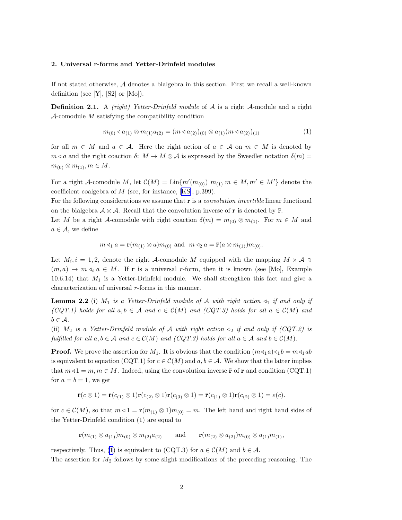## <span id="page-1-0"></span>2. Universal r-forms and Yetter-Drinfeld modules

If not stated otherwise, A denotes a bialgebra in this section. First we recall a well-known definition (see  $[Y]$ ,  $[S2]$  or  $[Mo]$ ).

Definition 2.1. A *(right)* Yetter-Drinfeld module of A is a right A-module and a right  $\mathcal{A}$ -comodule  $M$  satisfying the compatibility condition

$$
m_{(0)} \triangleleft a_{(1)} \otimes m_{(1)} a_{(2)} = (m \triangleleft a_{(2)})_{(0)} \otimes a_{(1)} (m \triangleleft a_{(2)})_{(1)} \tag{1}
$$

for all  $m \in M$  and  $a \in \mathcal{A}$ . Here the right action of  $a \in \mathcal{A}$  on  $m \in M$  is denoted by  $m \triangleleft a$  and the right coaction  $\delta: M \to M \otimes A$  is expressed by the Sweedler notation  $\delta(m)$  $m_{(0)} \otimes m_{(1)}, m \in M$ .

For a right A-comodule M, let  $\mathcal{C}(M) = \text{Lin}\{m'(m_{(0)}) \ m_{(1)}|m \in M, m' \in M'\}$  denote the coefficient coalgebra of M (see, for instance, [\[KS\]](#page-8-0), p.399).

For the following considerations we assume that  $\bf{r}$  is a *convolution invertible* linear functional on the bialgebra  $\mathcal{A} \otimes \mathcal{A}$ . Recall that the convolution inverse of **r** is denoted by **r**.

Let M be a right A-comodule with right coaction  $\delta(m) = m_{(0)} \otimes m_{(1)}$ . For  $m \in M$  and  $a \in \mathcal{A}$ , we define

$$
m \triangleleft_1 a = \mathbf{r}(m_{(1)} \otimes a)m_{(0)}
$$
 and  $m \triangleleft_2 a = \mathbf{\bar{r}}(a \otimes m_{(1)})m_{(0)}$ .

Let  $M_i, i = 1, 2$ , denote the right A-comodule M equipped with the mapping  $M \times \mathcal{A} \ni$  $(m, a) \to m \triangleleft_i a \in M$ . If **r** is a universal r-form, then it is known (see [Mo], Example 10.6.14) that  $M_1$  is a Yetter-Drinfeld module. We shall strengthen this fact and give a characterization of universal r-forms in this manner.

**Lemma 2.2** (i)  $M_1$  is a Yetter-Drinfeld module of A with right action  $\triangleleft_1$  if and only if (CQT.1) holds for all  $a, b \in A$  and  $c \in C(M)$  and (CQT.3) holds for all  $a \in C(M)$  and  $b \in \mathcal{A}$ .

(ii)  $M_2$  is a Yetter-Drinfeld module of A with right action  $\triangleleft_2$  if and only if (CQT.2) is fulfilled for all  $a, b \in A$  and  $c \in C(M)$  and  $(CQT.3)$  holds for all  $a \in A$  and  $b \in C(M)$ .

**Proof.** We prove the assertion for  $M_1$ . It is obvious that the condition  $(m \triangleleft_1 a) \triangleleft_1 b = m \triangleleft_1 ab$ is equivalent to equation (CQT.1) for  $c \in \mathcal{C}(M)$  and  $a, b \in \mathcal{A}$ . We show that the latter implies that  $m \triangleleft 1 = m, m \in M$ . Indeed, using the convolution inverse  $\bar{\mathbf{r}}$  of r and condition (CQT.1) for  $a = b = 1$ , we get

$$
\bar{\mathbf{r}}(c\otimes 1) = \bar{\mathbf{r}}(c_{(1)}\otimes 1)\mathbf{r}(c_{(2)}\otimes 1)\mathbf{r}(c_{(3)}\otimes 1) = \bar{\mathbf{r}}(c_{(1)}\otimes 1)\mathbf{r}(c_{(2)}\otimes 1) = \varepsilon(c).
$$

for  $c \in \mathcal{C}(M)$ , so that  $m \triangleleft 1 = \mathbf{r}(m_{(1)} \otimes 1) m_{(0)} = m$ . The left hand and right hand sides of the Yetter-Drinfeld condition (1) are equal to

 $\mathbf{r}(m_{(1)} \otimes a_{(1)})m_{(0)} \otimes m_{(2)}a_{(2)}$  and  $\mathbf{r}(m_{(2)} \otimes a_{(2)})m_{(0)} \otimes a_{(1)}m_{(1)}$ ,

respectively. Thus, (1) is equivalent to (CQT.3) for  $a \in \mathcal{C}(M)$  and  $b \in \mathcal{A}$ . The assertion for  $M_2$  follows by some slight modifications of the preceding reasoning. The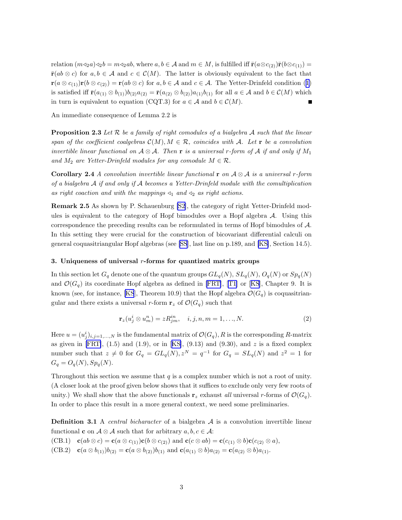<span id="page-2-0"></span>relation  $(m\triangleleft_2 a)\triangleleft_2 b = m\triangleleft_2 ab$ , where  $a, b \in \mathcal{A}$  and  $m \in M$ , is fulfilled iff  $\bar{\mathbf{r}}(a\otimes c_{(2)})\bar{\mathbf{r}}(b\otimes c_{(1)}) =$  $\bar{\mathbf{r}}(ab\otimes c)$  for  $a, b \in \mathcal{A}$  and  $c \in \mathcal{C}(M)$ . The latter is obviously equivalent to the fact that  $\mathbf{r}(a \otimes c_{(1)})\mathbf{r}(b \otimes c_{(2)}) = \mathbf{r}(ab \otimes c)$  $\mathbf{r}(a \otimes c_{(1)})\mathbf{r}(b \otimes c_{(2)}) = \mathbf{r}(ab \otimes c)$  $\mathbf{r}(a \otimes c_{(1)})\mathbf{r}(b \otimes c_{(2)}) = \mathbf{r}(ab \otimes c)$  $\mathbf{r}(a \otimes c_{(1)})\mathbf{r}(b \otimes c_{(2)}) = \mathbf{r}(ab \otimes c)$  $\mathbf{r}(a \otimes c_{(1)})\mathbf{r}(b \otimes c_{(2)}) = \mathbf{r}(ab \otimes c)$  for  $a, b \in \mathcal{A}$  and  $c \in \mathcal{A}$ . The Yetter-Drinfeld condition (1) is satisfied iff  $\bar{\mathbf{r}}(a_{(1)} \otimes b_{(1)})b_{(2)}a_{(2)} = \bar{\mathbf{r}}(a_{(2)} \otimes b_{(2)})a_{(1)}b_{(1)}$  for all  $a \in \mathcal{A}$  and  $b \in \mathcal{C}(M)$  which in turn is equivalent to equation (CQT.3) for  $a \in A$  and  $b \in C(M)$ .

An immediate consequence of Lemma 2.2 is

**Proposition 2.3** Let  $\mathcal{R}$  be a family of right comodules of a bialgebra  $\mathcal{A}$  such that the linear span of the coefficient coalgebras  $\mathcal{C}(M), M \in \mathcal{R}$ , coincides with A. Let r be a convolution invertible linear functional on  $A \otimes A$ . Then **r** is a universal r-form of A if and only if  $M_1$ and  $M_2$  are Yetter-Drinfeld modules for any comodule  $M \in \mathcal{R}$ .

Corollary 2.4 A convolution invertible linear functional r on  $A \otimes A$  is a universal r-form of a bialgebra  $A$  if and only if  $A$  becomes a Yetter-Drinfeld module with the comultiplication as right coaction and with the mappings  $\triangleleft_1$  and  $\triangleleft_2$  as right actions.

Remark 2.5 As shown by P. Schauenburg [\[S2\]](#page-8-0), the category of right Yetter-Drinfeld modules is equivalent to the category of Hopf bimodules over a Hopf algebra A. Using this correspondence the preceding results can be reformulated in terms of Hopf bimodules of A. In this setting they were crucial for the construction of bicovariant differential calculi on general coquasitriangular Hopf algebras (see [\[SS](#page-8-0)], last line on p.189, and [\[KS\]](#page-8-0), Section 14.5).

# 3. Uniqueness of universal  $r$ -forms for quantized matrix groups

In this section let  $G_q$  denote one of the quantum groups  $GL_q(N)$ ,  $SL_q(N)$ ,  $O_q(N)$  or  $Sp_q(N)$ and $\mathcal{O}(G_q)$  its coordinate Hopf algebra as defined in [\[FRT\]](#page-8-0), [[T1\]](#page-9-0) or [[KS](#page-8-0)], Chapter 9. It is known (see, for instance, [\[KS](#page-8-0)], Theorem 10.9) that the Hopf algebra  $\mathcal{O}(G_q)$  is coquasitriangular and there exists a universal r-form  $\mathbf{r}_z$  of  $\mathcal{O}(G_q)$  such that

$$
\mathbf{r}_z(u_j^i \otimes u_m^n) = zR_{jm}^{in}, \quad i, j, n, m = 1, \dots, N. \tag{2}
$$

Here  $u = (u_j^i)_{i,j=1,\ldots,N}$  is the fundamental matrix of  $\mathcal{O}(G_q)$ , R is the corresponding R-matrix as given in [\[FRT\]](#page-8-0), $(1.5)$  and  $(1.9)$ , or in [[KS\]](#page-8-0),  $(9.13)$  and  $(9.30)$ , and z is a fixed complex number such that  $z \neq 0$  for  $G_q = GL_q(N), z^N = q^{-1}$  for  $G_q = SL_q(N)$  and  $z^2 = 1$  for  $G_q = O_q(N), Sp_q(N).$ 

Throughout this section we assume that  $q$  is a complex number which is not a root of unity. (A closer look at the proof given below shows that it suffices to exclude only very few roots of unity.) We shall show that the above functionals  $\mathbf{r}_z$  exhaust all universal r-forms of  $\mathcal{O}(G_q)$ . In order to place this result in a more general context, we need some preliminaries.

**Definition 3.1** A *central bicharacter* of a bialgebra  $A$  is a convolution invertible linear functional **c** on  $A \otimes A$  such that for arbitrary  $a, b, c \in A$ :

(CB.1)  $\mathbf{c}(ab \otimes c) = \mathbf{c}(a \otimes c_{(1)})\mathbf{c}(b \otimes c_{(2)})$  and  $\mathbf{c}(c \otimes ab) = \mathbf{c}(c_{(1)} \otimes b)\mathbf{c}(c_{(2)} \otimes a)$ ,

(CB.2)  $\mathbf{c}(a \otimes b_{(1)})b_{(2)} = \mathbf{c}(a \otimes b_{(2)})b_{(1)}$  and  $\mathbf{c}(a_{(1)} \otimes b)a_{(2)} = \mathbf{c}(a_{(2)} \otimes b)a_{(1)}$ .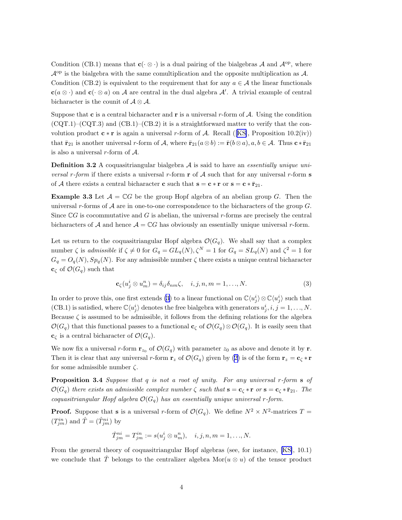<span id="page-3-0"></span>Condition (CB.1) means that  $\mathbf{c}(\cdot \otimes \cdot)$  is a dual pairing of the bialgebras A and  $\mathcal{A}^{op}$ , where  $\mathcal{A}^{\text{op}}$  is the bialgebra with the same comultiplication and the opposite multiplication as  $\mathcal{A}$ . Condition (CB.2) is equivalent to the requirement that for any  $a \in \mathcal{A}$  the linear functionals  $c(a \otimes \cdot)$  and  $c(\cdot \otimes a)$  on A are central in the dual algebra A'. A trivial example of central bicharacter is the counit of  $A \otimes A$ .

Suppose that **c** is a central bicharacter and **r** is a universal r-form of  $A$ . Using the condition  $(CQT.1)$ – $(CQT.3)$  and  $(CB.1)$ – $(CB.2)$  it is a straightforward matter to verify that the convolution product  $\mathbf{c} * \mathbf{r}$  is again a universal r-form of A. Recall ([\[KS\]](#page-8-0), Proposition 10.2(iv)) that  $\bar{\mathbf{r}}_{21}$  is another universal r-form of A, where  $\bar{\mathbf{r}}_{21}(a \otimes b) := \bar{\mathbf{r}}(b \otimes a), a, b \in \mathcal{A}$ . Thus  $\mathbf{c} * \bar{\mathbf{r}}_{21}$ is also a universal  $r$ -form of  $A$ .

**Definition 3.2** A coquasitriangular bialgebra  $A$  is said to have an *essentially unique uni*versal r-form if there exists a universal r-form  $\bf{r}$  of A such that for any universal r-form  $\bf{s}$ of A there exists a central bicharacter **c** such that  $\mathbf{s} = \mathbf{c} * \mathbf{r}$  or  $\mathbf{s} = \mathbf{c} * \bar{\mathbf{r}}_{21}$ .

**Example 3.3** Let  $\mathcal{A} = \mathbb{C}G$  be the group Hopf algebra of an abelian group G. Then the universal r-forms of  $A$  are in one-to-one correspondence to the bicharacters of the group  $G$ . Since  $\mathbb{C}G$  is cocommutative and G is abelian, the universal r-forms are precisely the central bicharacters of A and hence  $A = \mathbb{C}G$  has obviously an essentially unique universal r-form.

Let us return to the coquasitriangular Hopf algebra  $\mathcal{O}(G_q)$ . We shall say that a complex number  $\zeta$  is admissible if  $\zeta \neq 0$  for  $G_q = GL_q(N), \zeta^N = 1$  for  $G_q = SL_q(N)$  and  $\zeta^2 = 1$  for  $G_q = O_q(N)$ ,  $Sp_q(N)$ . For any admissible number  $\zeta$  there exists a unique central bicharacter  $\mathbf{c}_{\zeta}$  of  $\mathcal{O}(G_q)$  such that

$$
\mathbf{c}_{\zeta}(u_j^i \otimes u_m^n) = \delta_{ij}\delta_{nm}\zeta, \quad i, j, n, m = 1, \dots, N. \tag{3}
$$

In order to prove this, one first extends (3) to a linear functional on  $\mathbb{C}\langle u_j^i \rangle \otimes \mathbb{C}\langle u_j^i \rangle$  such that (CB.1) is satisfied, where  $\mathbb{C}\langle u_j^i \rangle$  denotes the free bialgebra with generators  $u_j^i, i, j = 1, ..., N$ . Because  $\zeta$  is assumed to be admissible, it follows from the defining relations for the algebra  $\mathcal{O}(G_q)$  that this functional passes to a functional  $\mathbf{c}_{\zeta}$  of  $\mathcal{O}(G_q) \otimes \mathcal{O}(G_q)$ . It is easily seen that  $\mathbf{c}_{\zeta}$  is a central bicharacter of  $\mathcal{O}(G_q)$ .

We now fix a universal r-form  $\mathbf{r}_{z_0}$  of  $\mathcal{O}(G_q)$  with parameter  $z_0$  as above and denote it by r. Then it is clear that any universal r-form  $\mathbf{r}_z$  of  $\mathcal{O}(G_q)$  given by [\(2](#page-2-0)) is of the form  $\mathbf{r}_z = \mathbf{c}_\zeta * \mathbf{r}$ for some admissible number  $\zeta$ .

Proposition 3.4 Suppose that q is not a root of unity. For any universal r-form s of  $\mathcal{O}(G_q)$  there exists an admissible complex number  $\zeta$  such that  $\mathbf{s} = \mathbf{c}_{\zeta} * \mathbf{r}$  or  $\mathbf{s} = \mathbf{c}_{\zeta} * \bar{\mathbf{r}}_{21}$ . The coquasitriangular Hopf algebra  $\mathcal{O}(G_q)$  has an essentially unique universal r-form.

**Proof.** Suppose that **s** is a universal r-form of  $\mathcal{O}(G_q)$ . We define  $N^2 \times N^2$ -matrices  $T =$  $(T_{jm}^{in})$  and  $\hat{T} = (\hat{T}_{jm}^{ni})$  by

$$
\hat{T}_{jm}^{ni} = T_{jm}^{in} := s(u_j^i \otimes u_m^n), \quad i, j, n, m = 1, \dots, N.
$$

From the general theory of coquasitriangular Hopf algebras (see, for instance, [\[KS\]](#page-8-0), 10.1) we conclude that T belongs to the centralizer algebra Mor $(u \otimes u)$  of the tensor product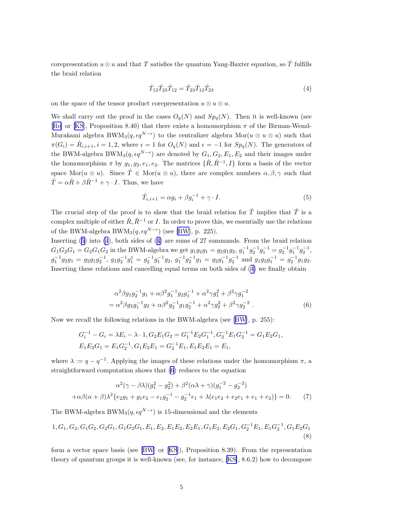<span id="page-4-0"></span>corepresentation  $u \otimes u$  and that T satisfies the quantum Yang-Baxter equation, so  $\hat{T}$  fulfills the braid relation

$$
\hat{T}_{12}\hat{T}_{23}\hat{T}_{12} = \hat{T}_{23}\hat{T}_{12}\hat{T}_{23} \tag{4}
$$

on the space of the tensor product corepresentation  $u \otimes u \otimes u$ .

We shall carry out the proof in the cases  $O_q(N)$  and  $Sp_q(N)$ . Then it is well-known (see [[Re\]](#page-8-0) or [\[KS](#page-8-0)], Proposition 8.40) that there exists a homomorphism  $\pi$  of the Birman-Wenzl-Murakami algebra BW $M_3(q, \epsilon q^{N-\epsilon})$  to the centralizer algebra  $Mor(u \otimes u \otimes u)$  such that  $\pi(G_i) = \hat{R}_{i,i+1}, i = 1,2$ , where  $\epsilon = 1$  for  $O_q(N)$  and  $\epsilon = -1$  for  $Sp_q(N)$ . The generators of the BWM-algebra BWM<sub>3</sub> $(q, \epsilon q^{N-\epsilon})$  are denoted by  $G_1, G_2, E_1, E_2$  and their images under the homomorphism  $\pi$  by  $g_1, g_2, e_1, e_2$ . The matrices  $\{\hat{R}, \hat{R}^{-1}, I\}$  form a basis of the vector space Mor $(u \otimes u)$ . Since  $\hat{T} \in \text{Mor}(u \otimes u)$ , there are complex numbers  $\alpha, \beta, \gamma$  such that  $\hat{T} = \alpha \hat{R} + \beta \hat{R}^{-1} + \gamma \cdot I$ . Thus, we have

$$
\hat{T}_{i,i+1} = \alpha g_i + \beta g_i^{-1} + \gamma \cdot I. \tag{5}
$$

The crucial step of the proof is to show that the braid relation for  $\hat{T}$  implies that  $\hat{T}$  is a complex multiple of either  $\hat{R}, \hat{R}^{-1}$  or I. In order to prove this, we essentially use the relations of the BWM-algebra BWM<sub>3</sub> $(q, \epsilon q^{N-\epsilon})$  (see [\[BW](#page-8-0)], p. 225).

Inserting (5) into (4), both sides of (4) are sums of 27 summands. From the braid relation  $G_1G_2G_1 = G_2G_1G_2$  in the BWM-algebra we get  $g_1g_2g_1 = g_2g_1g_2$ ,  $g_1^{-1}g_2^{-1}g_1^{-1} = g_2^{-1}g_1^{-1}g_2^{-1}$ ,  $g_1^{-1}g_2g_1 = g_2g_1g_2^{-1}, g_1g_2^{-1}g_1^1 = g_2^{-1}g_1^{-1}g_2, g_1^{-1}g_2^{-1}g_1 = g_2g_1^{-1}g_2^{-1}$  and  $g_1g_2g_1^{-1} = g_2^{-1}g_1g_2.$ Inserting these relations and cancelling equal terms on both sides of (4) we finally obtain

$$
\alpha^2 \beta g_1 g_2^{-1} g_1 + \alpha \beta^2 g_1^{-1} g_2 g_1^{-1} + \alpha^2 \gamma g_1^2 + \beta^2 \gamma g_1^{-2}
$$
  
= 
$$
\alpha^2 \beta g_2 g_1^{-1} g_2 + \alpha \beta^2 g_2^{-1} g_1 g_2^{-1} + \alpha^2 \gamma g_2^2 + \beta^2 \gamma g_2^{-2} .
$$
 (6)

Now we recall the following relations in the BWM-algebra (see[[BW](#page-8-0)], p. 255):

$$
G_i^{-1} - G_i = \lambda E_i - \lambda \cdot 1, G_2 E_1 G_2 = G_1^{-1} E_2 G_1^{-1}, G_2^{-1} E_1 G_2^{-1} = G_1 E_2 G_1,
$$
  
\n
$$
E_1 E_2 G_1 = E_1 G_2^{-1}, G_1 E_2 E_1 = G_2^{-1} E_1, E_1 E_2 E_1 = E_1,
$$

where  $\lambda := q - q^{-1}$ . Applying the images of these relations under the homomorphism  $\pi$ , a straightforward computation shows that (6) reduces to the equation

$$
\alpha^2(\gamma - \beta \lambda)(g_1^2 - g_2^2) + \beta^2(\alpha \lambda + \gamma)(g_1^{-2} - g_2^{-2})
$$
  
 
$$
+ \alpha \beta(\alpha + \beta)\lambda^2 \{e_2 g_1 + g_1 e_2 - e_1 g_2^{-1} - g_2^{-1} e_1 + \lambda(e_1 e_2 + e_2 e_1 + e_1 + e_2)\} = 0. \tag{7}
$$

The BWM-algebra BWM<sub>3</sub> $(q, \epsilon q^{N-\epsilon})$  is 15-dimensional and the elements

$$
1, G_1, G_2, G_1G_2, G_2G_1, G_1G_2G_1, E_1, E_2, E_1E_2, E_2E_1, G_1E_2, E_2G_1, G_2^{-1}E_1, E_1G_2^{-1}, G_1E_2G_1
$$
\n(8)

form a vector space basis (see [\[BW](#page-8-0)] or[[KS](#page-8-0)]), Proposition 8.39). From the representation theory of quantum groups it is well-known (see, for instance, [\[KS\]](#page-8-0), 8.6.2) how to decompose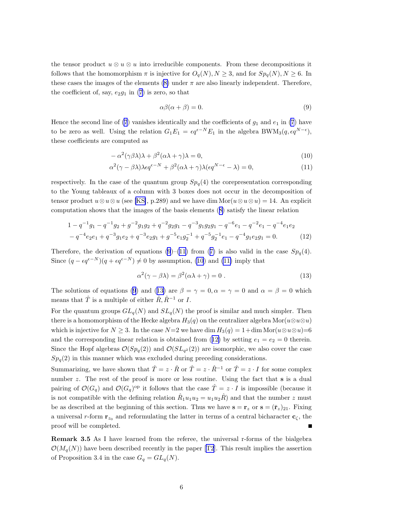the tensor product  $u \otimes u \otimes u$  into irreducible components. From these decompositions it follows that the homomorphism  $\pi$  is injective for  $O_q(N), N \geq 3$ , and for  $Sp_q(N), N \geq 6$ . In these cases the images of the elements  $(8)$  under  $\pi$  are also linearly independent. Therefore, the coefficient of, say,  $e_2g_1$  in [\(7](#page-4-0)) is zero, so that

$$
\alpha \beta(\alpha + \beta) = 0. \tag{9}
$$

Hence the second line of [\(7](#page-4-0)) vanishes identically and the coefficients of  $g_1$  and  $e_1$  in (7) have to be zero as well. Using the relation  $G_1 E_1 = \epsilon q^{\epsilon - N} E_1$  in the algebra BWM<sub>3</sub> $(q, \epsilon q^{N-\epsilon})$ , these coefficients are computed as

$$
-\alpha^2(\gamma\beta\lambda)\lambda + \beta^2(\alpha\lambda + \gamma)\lambda = 0,
$$
\n(10)

$$
\alpha^2(\gamma - \beta \lambda)\lambda \epsilon q^{\epsilon - N} + \beta^2(\alpha \lambda + \gamma)\lambda(\epsilon q^{N - \epsilon} - \lambda) = 0,
$$
\n(11)

respectively. In the case of the quantum group  $Sp_q(4)$  the corepresentation corresponding to the Young tableaux of a column with 3 boxes does not occur in the decomposition of tensor product  $u \otimes u \otimes u$  (see [\[KS\]](#page-8-0), p.289) and we have dim Mor $(u \otimes u \otimes u) = 14$ . An explicit computation shows that the images of the basis elements([8\)](#page-4-0) satisfy the linear relation

$$
1 - q^{-1}g_1 - q^{-1}g_2 + g^{-2}g_1g_2 + q^{-2}g_2g_1 - q^{-3}g_1g_2g_1 - q^{-6}e_1 - q^{-2}e_1 - q^{-4}e_1e_2
$$
  

$$
-q^{-4}e_2e_1 + q^{-3}g_1e_2 + q^{-3}e_2g_1 + g^{-5}e_1g_2^{-1} + q^{-5}g_2^{-1}e_1 - q^{-4}g_1e_2g_1 = 0.
$$
 (12)

Therefore,the derivation of equations (9)–(11) from ([7\)](#page-4-0) is also valid in the case  $Sp_q(4)$ . Since  $(q - \epsilon q^{\epsilon - N})(q + \epsilon q^{\epsilon - N}) \neq 0$  by assumption, (10) and (11) imply that

$$
\alpha^2(\gamma - \beta \lambda) = \beta^2(\alpha \lambda + \gamma) = 0.
$$
 (13)

The solutions of equations (9) and (13) are  $\beta = \gamma = 0, \alpha = \gamma = 0$  and  $\alpha = \beta = 0$  which means that  $\hat{T}$  is a multiple of either  $\hat{R}, \hat{R}^{-1}$  or  $I$ .

For the quantum groups  $GL_q(N)$  and  $SL_q(N)$  the proof is similar and much simpler. Then there is a homomorphism of the Hecke algebra  $H_3(q)$  on the centralizer algebra Mor $(u \otimes u \otimes u)$ which is injective for  $N \geq 3$ . In the case  $N=2$  we have dim  $H_3(q) = 1+\dim \text{Mor}(u\otimes u) = 6$ and the corresponding linear relation is obtained from (12) by setting  $e_1 = e_2 = 0$  therein. Since the Hopf algebras  $\mathcal{O}(Sp_q(2))$  and  $\mathcal{O}(SL_{q^2}(2))$  are isomorphic, we also cover the case  $Sp_q(2)$  in this manner which was excluded during preceding considerations.

Summarizing, we have shown that  $\hat{T} = z \cdot \hat{R}$  or  $\hat{T} = z \cdot \hat{R}^{-1}$  or  $\hat{T} = z \cdot I$  for some complex number z. The rest of the proof is more or less routine. Using the fact that s is a dual pairing of  $\mathcal{O}(G_q)$  and  $\mathcal{O}(G_q)$ <sup>op</sup> it follows that the case  $\hat{T} = z \cdot I$  is impossible (because it is not compatible with the defining relation  $\hat{R}_1 u_1 u_2 = u_1 u_2 \hat{R}$  and that the number z must be as described at the beginning of this section. Thus we have  $\mathbf{s} = \mathbf{r}_z$  or  $\mathbf{s} = (\bar{\mathbf{r}}_z)_{21}$ . Fixing a universal r-form  $\mathbf{r}_{z_0}$  and reformulating the latter in terms of a central bicharacter  $\mathbf{c}_{\zeta}$ , the proof will be completed.

Remark 3.5 As I have learned from the referee, the universal r-forms of the bialgebra  $\mathcal{O}(M_q(N))$ have been described recently in the paper [[T2](#page-9-0)]. This result implies the assertion of Proposition 3.4 in the case  $G_q = GL_q(N)$ .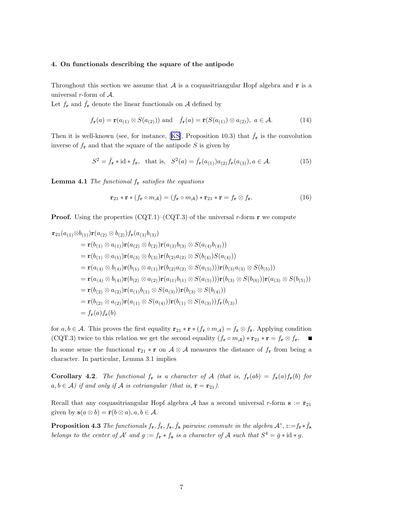## <span id="page-6-0"></span>4. On functionals describing the square of the antipode

Throughout this section we assume that  $A$  is a coquasitriangular Hopf algebra and  $\bf{r}$  is a universal  $r$ -form of  $\mathcal{A}$ .

Let  $f_{\mathbf{r}}$  and  $\bar{f}_{\mathbf{r}}$  denote the linear functionals on A defined by

$$
f_{\mathbf{r}}(a) = \mathbf{r}(a_{(1)} \otimes S(a_{(2)})) \text{ and } \bar{f}_{\mathbf{r}}(a) = \bar{\mathbf{r}}(S(a_{(1)}) \otimes a_{(2)}), \ a \in \mathcal{A}.
$$
 (14)

Thenit is well-known (see, for instance, [[KS\]](#page-8-0), Proposition 10.3) that  $\bar{f}_{\mathbf{r}}$  is the convolution inverse of  $f_{\mathbf{r}}$  and that the square of the antipode S is given by

$$
S^2 = \overline{f}_{\mathbf{r}} * \mathrm{id} * f_{\mathbf{r}}, \quad \text{that is,} \quad S^2(a) = \overline{f}_{\mathbf{r}}(a_{(1)})a_{(2)}f_{\mathbf{r}}(a_{(3)}), a \in \mathcal{A}.\tag{15}
$$

**Lemma 4.1** The functional  $f_r$  satisfies the equations

$$
\mathbf{r}_{21} * \mathbf{r} * (f_{\mathbf{r}} \circ m_{\mathcal{A}}) = (f_{\mathbf{r}} \circ m_{\mathcal{A}}) * \mathbf{r}_{21} * \mathbf{r} = f_{\mathbf{r}} \otimes f_{\mathbf{r}}.
$$
 (16)

**Proof.** Using the properties  $(CQT.1)-(CQT.3)$  of the universal r-form **r** we compute

$$
\mathbf{r}_{21}(a_{(1)} \otimes b_{(1)})\mathbf{r}(a_{(2)} \otimes b_{(2)})f_{\mathbf{r}}(a_{(3)}b_{(3)})
$$
\n
$$
= \mathbf{r}(b_{(1)} \otimes a_{(1)})\mathbf{r}(a_{(2)} \otimes b_{(2)})\mathbf{r}(a_{(3)}b_{(3)} \otimes S(a_{(4)}b_{(4)}))
$$
\n
$$
= \mathbf{r}(b_{(1)} \otimes a_{(1)})\mathbf{r}(a_{(3)} \otimes b_{(3)})\mathbf{r}(b_{(2)}a_{(2)} \otimes S(b_{(4)})S(a_{(4)}))
$$
\n
$$
= \mathbf{r}(a_{(4)} \otimes b_{(4)})\mathbf{r}(b_{(1)} \otimes a_{(1)})\mathbf{r}(b_{(2)}a_{(2)} \otimes S(a_{(5)}))\mathbf{r}(b_{(3)}a_{(3)} \otimes S(b_{(5)}))
$$
\n
$$
= \mathbf{r}(a_{(4)} \otimes b_{(4)})\mathbf{r}(b_{(2)} \otimes a_{(2)})\mathbf{r}(a_{(1)}b_{(1)} \otimes S(a_{(5)}))\mathbf{r}(b_{(3)} \otimes S(b_{(6)}))\mathbf{r}(a_{(3)} \otimes S(b_{(5)}))
$$
\n
$$
= \mathbf{r}(b_{(2)} \otimes a_{(2)})\mathbf{r}(a_{(1)}b_{(1)} \otimes S(a_{(3)}))\mathbf{r}(b_{(3)} \otimes S(b_{(4)}))
$$
\n
$$
= \mathbf{r}(b_{(2)} \otimes a_{(2)})\mathbf{r}(a_{(1)} \otimes S(a_{(4)}))\mathbf{r}(b_{(1)} \otimes S(a_{(3)}))f_{\mathbf{r}}(b_{(3)})
$$
\n
$$
= f_{\mathbf{r}}(a) f_{\mathbf{r}}(b)
$$

for  $a, b \in \mathcal{A}$ . This proves the first equality  $\mathbf{r}_{21} * \mathbf{r} * (f_{\mathbf{r}} \circ m_{\mathcal{A}}) = f_{\mathbf{r}} \otimes f_{\mathbf{r}}$ . Applying condition (CQT.3) twice to this relation we get the second equality  $(f_{\mathbf{r}} \circ m_{\mathcal{A}}) * \mathbf{r}_{21} * \mathbf{r} = f_{\mathbf{r}} \otimes f_{\mathbf{r}}.$ In some sense the functional  $\mathbf{r}_{21} * \mathbf{r}$  on  $\mathcal{A} \otimes \mathcal{A}$  measures the distance of  $f_{\mathbf{r}}$  from being a character. In particular, Lemma 3.1 implies

Corollary 4.2. The functional  $f_r$  is a character of A (that is,  $f_r(ab) = f_r(a)f_r(b)$  for  $a, b \in \mathcal{A}$ ) if and only if  $\mathcal A$  is cotriangular (that is,  $\bar{\mathbf{r}} = \mathbf{r}_{21}$ ).

Recall that any coquasitriangular Hopf algebra A has a second universal r-form  $s := \bar{r}_{21}$ given by  $s(a \otimes b) = \bar{r}(b \otimes a), a, b \in \mathcal{A}$ .

**Proposition 4.3** The functionals  $f_{\bf r}, \bar{f}_{\bf r}, f_{\bf s}, \bar{f}_{\bf s}$  pairwise commute in the algebra  $\mathcal{A}^\circ, z:=f_{\bf r}*\bar{f}_{\bf s}$ belongs to the center of  $\mathcal{A}'$  and  $g := f_{\mathbf{r}} * f_{\mathbf{s}}$  is a character of  $\mathcal{A}$  such that  $S^4 = \bar{g} * id * g$ .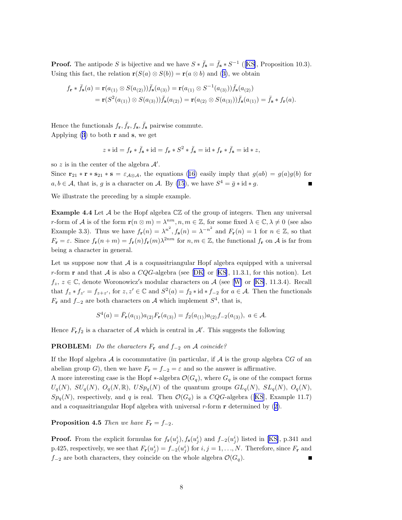**Proof.** The antipode S is bijective and we have  $S * \bar{f}_s = \bar{f}_s * S^{-1}$  ([[KS](#page-8-0)], Proposition 10.3). Usingthis fact, the relation  $\mathbf{r}(S(a) \otimes S(b)) = \mathbf{r}(a \otimes b)$  and ([3\)](#page-3-0), we obtain

$$
f_{\mathbf{r}} * \bar{f}_{\mathbf{s}}(a) = \mathbf{r}(a_{(1)} \otimes S(a_{(2)})) \bar{f}_{\mathbf{s}}(a_{(3)}) = \mathbf{r}(a_{(1)} \otimes S^{-1}(a_{(3)})) \bar{f}_{\mathbf{s}}(a_{(2)})
$$
  
=  $\mathbf{r}(S^2(a_{(1)}) \otimes S(a_{(3)})) \bar{f}_{\mathbf{s}}(a_{(2)}) = \mathbf{r}(a_{(2)} \otimes S(a_{(3)})) \bar{f}_{\mathbf{s}}(a_{(1)}) = \bar{f}_{\mathbf{s}} * f_{\mathbf{r}}(a).$ 

Hence the functionals  $f_{\mathbf{r}}, \bar{f}_{\mathbf{r}}, f_{\mathbf{s}}, \bar{f}_{\mathbf{s}}$  pairwise commute.

Applying  $(3)$  to both **r** and **s**, we get

$$
z * id = f_{\mathbf{r}} * \bar{f}_{\mathbf{s}} * id = f_{\mathbf{r}} * S^2 * \bar{f}_{\mathbf{s}} = id * f_{\mathbf{r}} * \bar{f}_{\mathbf{s}} = id * z,
$$

so z is in the center of the algebra  $\mathcal{A}'$ .

Since  $\mathbf{r}_{21} * \mathbf{r} * \mathbf{s}_{21} * \mathbf{s} = \varepsilon_{\mathcal{A} \otimes \mathcal{A}}$ , the equations [\(16](#page-6-0)) easily imply that  $g(ab) = g(a)g(b)$  for  $a, b \in \mathcal{A}$ , that is, g is a character on  $\mathcal{A}$ . By [\(15](#page-6-0)), we have  $S^4 = \bar{g} * id * g$ .

We illustrate the preceding by a simple example.

**Example 4.4** Let  $\mathcal A$  be the Hopf algebra  $\mathbb C\mathbb Z$  of the group of integers. Then any universal r-form of A is of the form  $\mathbf{r}(n \otimes m) = \lambda^{nm}, n, m \in \mathbb{Z}$ , for some fixed  $\lambda \in \mathbb{C}, \lambda \neq 0$  (see also Example 3.3). Thus we have  $f_{\mathbf{r}}(n) = \lambda^{n^2}$ ,  $f_{\mathbf{s}}(n) = \lambda^{-n^2}$  and  $F_{\mathbf{r}}(n) = 1$  for  $n \in \mathbb{Z}$ , so that  $F_{\mathbf{r}} = \varepsilon$ . Since  $f_{\mathbf{r}}(n+m) = f_{\mathbf{r}}(n) f_{\mathbf{r}}(m) \lambda^{2nm}$  for  $n, m \in \mathbb{Z}$ , the functional  $f_{\mathbf{r}}$  on A is far from being a character in general.

Let us suppose now that  $\mathcal A$  is a coquasitriangular Hopf algebra equipped with a universal r-form**r** and that A is also a  $CQG$ -algebra (see [[DK](#page-8-0)] or [[KS\]](#page-8-0), 11.3.1, for this notion). Let  $f_z, z \in \mathbb{C}$  $f_z, z \in \mathbb{C}$  $f_z, z \in \mathbb{C}$ , denote Woronowicz's modular characters on A (see [[W\]](#page-9-0) or [\[KS\]](#page-8-0), 11.3.4). Recall that  $f_z * f_{z'} = f_{z+z'}$ , for  $z, z' \in \mathbb{C}$  and  $S^2(a) = f_2 * id * f_{-2}$  for  $a \in \mathcal{A}$ . Then the functionals  $F_r$  and  $f_{-2}$  are both characters on A which implement  $S^4$ , that is,

$$
S^{4}(a) = \bar{F}_{r}(a_{(1)})a_{(2)}F_{r}(a_{(3)}) = f_{2}(a_{(1)})a_{(2)}f_{-2}(a_{(3)}), \ a \in \mathcal{A}.
$$

Hence  $F_{\mathbf{r}} f_2$  is a character of A which is central in A'. This suggests the following

**PROBLEM:** Do the characters  $F_r$  and  $f_{-2}$  on  $\mathcal A$  coincide?

If the Hopf algebra  $A$  is cocommutative (in particular, if  $A$  is the group algebra  $\mathbb{C}G$  of an abelian group G), then we have  $F_{\mathbf{r}} = f_{-2} = \varepsilon$  and so the answer is affirmative.

A more interesting case is the Hopf  $*$ -algebra  $\mathcal{O}(G_q)$ , where  $G_q$  is one of the compact forms  $U_q(N)$ ,  $SU_q(N)$ ,  $O_q(N,\mathbb{R})$ ,  $USp_q(N)$  of the quantum groups  $GL_q(N)$ ,  $SL_q(N)$ ,  $O_q(N)$ ,  $Sp_q(N)$ , respectively, and q is real. Then  $\mathcal{O}(G_q)$  is a CQG-algebra ([\[KS](#page-8-0)], Example 11.7) anda coquasitriangular Hopf algebra with universal  $r$ -form  $r$  determined by  $(2)$  $(2)$ .

**Proposition 4.5** Then we have  $F_r = f_{-2}$ .

**Proof.** From the explicit formulas for  $f_{\bf r}(u_j^i)$ ,  $f_{\bf s}(u_j^i)$  and  $f_{-2}(u_j^i)$  listed in [\[KS\]](#page-8-0), p.341 and p.425, respectively, we see that  $F_{\mathbf{r}}(u_j^i) = f_{-2}(u_j^i)$  for  $i, j = 1, ..., N$ . Therefore, since  $F_{\mathbf{r}}$  and  $f_{-2}$  are both characters, they coincide on the whole algebra  $\mathcal{O}(G_q)$ .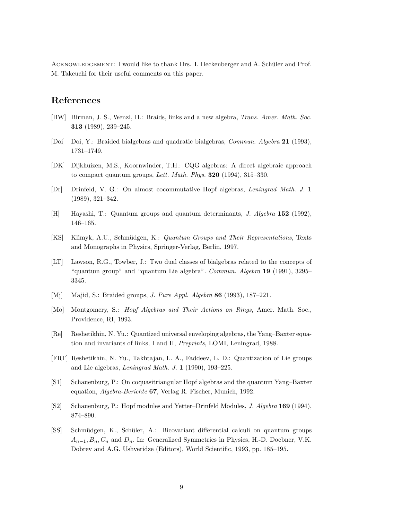<span id="page-8-0"></span>ACKNOWLEDGEMENT: I would like to thank Drs. I. Heckenberger and A. Schüler and Prof. M. Takeuchi for their useful comments on this paper.

# References

- [BW] Birman, J. S., Wenzl, H.: Braids, links and a new algebra, Trans. Amer. Math. Soc. 313 (1989), 239–245.
- [Doi] Doi, Y.: Braided bialgebras and quadratic bialgebras, Commun. Algebra 21 (1993), 1731–1749.
- [DK] Dijkhuizen, M.S., Koornwinder, T.H.: CQG algebras: A direct algebraic approach to compact quantum groups, Lett. Math. Phys.  $320$  (1994), 315–330.
- [Dr] Drinfeld, V. G.: On almost cocommutative Hopf algebras, Leningrad Math. J. 1 (1989), 321–342.
- [H] Hayashi, T.: Quantum groups and quantum determinants, J. Algebra 152 (1992), 146–165.
- [KS] Klimyk, A.U., Schm¨udgen, K.: Quantum Groups and Their Representations, Texts and Monographs in Physics, Springer-Verlag, Berlin, 1997.
- [LT] Lawson, R.G., Towber, J.: Two dual classes of bialgebras related to the concepts of "quantum group" and "quantum Lie algebra". Commun. Algebra 19 (1991), 3295– 3345.
- [Mj] Majid, S.: Braided groups, J. Pure Appl. Algebra 86 (1993), 187–221.
- [Mo] Montgomery, S.: Hopf Algebras and Their Actions on Rings, Amer. Math. Soc., Providence, RI, 1993.
- [Re] Reshetikhin, N. Yu.: Quantized universal enveloping algebras, the Yang–Baxter equation and invariants of links, I and II, Preprints, LOMI, Leningrad, 1988.
- [FRT] Reshetikhin, N. Yu., Takhtajan, L. A., Faddeev, L. D.: Quantization of Lie groups and Lie algebras, Leningrad Math. J. 1 (1990), 193–225.
- [S1] Schauenburg, P.: On coquasitriangular Hopf algebras and the quantum Yang–Baxter equation, Algebra-Berichte 67, Verlag R. Fischer, Munich, 1992.
- [S2] Schauenburg, P.: Hopf modules and Yetter–Drinfeld Modules, J. Algebra 169 (1994), 874–890.
- [SS] Schm¨udgen, K., Sch¨uler, A.: Bicovariant differential calculi on quantum groups  $A_{n-1}, B_n, C_n$  and  $D_n$ . In: Generalized Symmetries in Physics, H.-D. Doebner, V.K. Dobrev and A.G. Ushveridze (Editors), World Scientific, 1993, pp. 185–195.